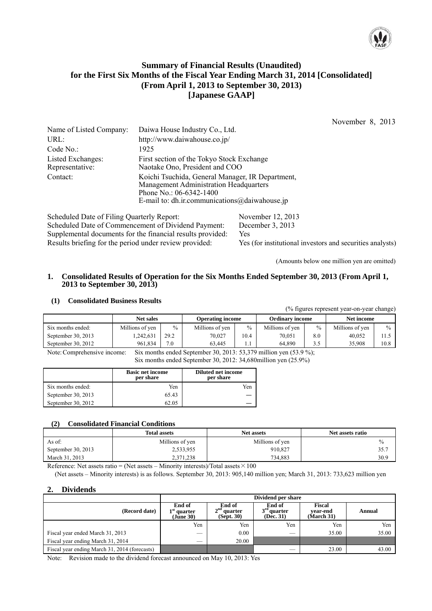

# **Summary of Financial Results (Unaudited) for the First Six Months of the Fiscal Year Ending March 31, 2014 [Consolidated] (From April 1, 2013 to September 30, 2013) [Japanese GAAP]**

November 8, 2013

| Name of Listed Company:              | Daiwa House Industry Co., Ltd.                                                                                                                                                  |
|--------------------------------------|---------------------------------------------------------------------------------------------------------------------------------------------------------------------------------|
| URL:                                 | http://www.daiwahouse.co.jp/                                                                                                                                                    |
| Code No.:                            | 1925                                                                                                                                                                            |
| Listed Exchanges:<br>Representative: | First section of the Tokyo Stock Exchange<br>Naotake Ono, President and COO                                                                                                     |
| Contact:                             | Koichi Tsuchida, General Manager, IR Department,<br><b>Management Administration Headquarters</b><br>Phone No.: $06-6342-1400$<br>E-mail to: dh.ir.communications@daiwahouse.jp |

Scheduled Date of Filing Quarterly Report: November 12, 2013 Scheduled Date of Commencement of Dividend Payment: December 3, 2013 Supplemental documents for the financial results provided: Yes Results briefing for the period under review provided: Yes (for institutional investors and securities analysts)

(Amounts below one million yen are omitted)

 $(0)$  figures represent year-on-year change)

#### **1. Consolidated Results of Operation for the Six Months Ended September 30, 2013 (From April 1, 2013 to September 30, 2013)**

#### **(1) Consolidated Business Results**

|                    |                  |      |                         |      |                        |      | $\frac{1}{20}$ hears represent year on year enanger |      |
|--------------------|------------------|------|-------------------------|------|------------------------|------|-----------------------------------------------------|------|
|                    | <b>Net sales</b> |      | <b>Operating income</b> |      | <b>Ordinary income</b> |      | Net income                                          |      |
| Six months ended:  | Millions of yen  | $\%$ | Millions of yen         | $\%$ | Millions of yen        | $\%$ | Millions of yen                                     | $\%$ |
| September 30, 2013 | ,242,631         | 29.2 | 70.027                  | 10.4 | 70,051                 | 8.0  | 40.052                                              |      |
| September 30, 2012 | 961.834          | 7.0  | 63.445                  | .    | 64.890                 | 3.5  | 35.908                                              | 10.8 |

Note: Comprehensive income: Six months ended September 30, 2013: 53,379 million yen (53.9 %);

Six months ended September 30, 2012: 34,680million yen (25.9%)

|                    | <b>Basic net income</b><br>per share | Diluted net income<br>per share |
|--------------------|--------------------------------------|---------------------------------|
| Six months ended:  | Yen                                  | Yen                             |
| September 30, 2013 | 65.43                                |                                 |
| September 30, 2012 | 62.05                                |                                 |

#### **(2) Consolidated Financial Conditions**

|                    | <b>Total assets</b> | <b>Net assets</b> | Net assets ratio |
|--------------------|---------------------|-------------------|------------------|
| As of:             | Millions of yen     | Millions of yen   |                  |
| September 30, 2013 | 2,533,955           | 910,827           | 35.7             |
| March 31, 2013     | 2,371,238           | 734.883           | 30.9             |

Reference: Net assets ratio = (Net assets – Minority interests)/Total assets  $\times 100$ 

(Net assets – Minority interests) is as follows. September 30, 2013: 905,140 million yen; March 31, 2013: 733,623 million yen

## **2. Dividends**

|                                               | Dividend per share                   |                                       |                                      |                                  |        |  |
|-----------------------------------------------|--------------------------------------|---------------------------------------|--------------------------------------|----------------------------------|--------|--|
| (Record date)                                 | End of<br>$1st$ quarter<br>(Jūne 30) | End of<br>$2nd$ quarter<br>(Sept. 30) | End of<br>$3rd$ quarter<br>(Dec. 31) | Fiscal<br>vear-end<br>(March 31) | Annual |  |
|                                               | Yen                                  | Yen                                   | Yen                                  | Yen                              | Yen    |  |
| Fiscal year ended March 31, 2013              | ___                                  | 0.00                                  | $\overline{\phantom{a}}$             | 35.00                            | 35.00  |  |
| Fiscal year ending March 31, 2014             |                                      | 20.00                                 |                                      |                                  |        |  |
| Fiscal year ending March 31, 2014 (forecasts) |                                      |                                       | $\overline{\phantom{a}}$             | 23.00                            | 43.00  |  |

Note: Revision made to the dividend forecast announced on May 10, 2013: Yes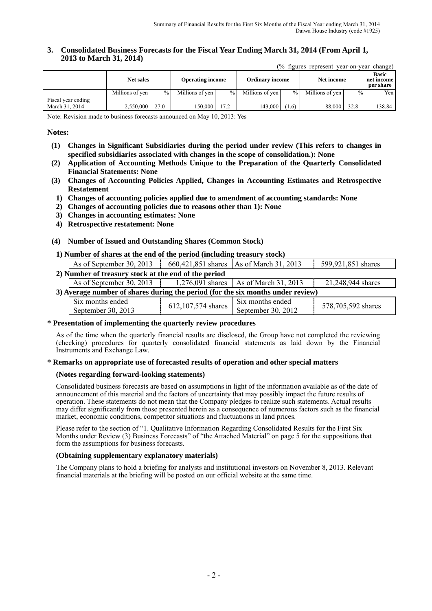#### **3. Consolidated Business Forecasts for the Fiscal Year Ending March 31, 2014 (From April 1, 2013 to March 31, 2014)**

(% figures represent year-on-year change)

|                                      | <b>Net sales</b> |               | <b>Operating income</b> |               | <b>Ordinary income</b> |               | Net income      |        | <b>Basic</b><br>net income<br>per share |
|--------------------------------------|------------------|---------------|-------------------------|---------------|------------------------|---------------|-----------------|--------|-----------------------------------------|
|                                      | Millions of yen  | $\frac{0}{0}$ | Millions of yen         | $\frac{0}{0}$ | Millions of yen        | $\frac{0}{0}$ | Millions of yen | $\%$ . | Yen I                                   |
| Fiscal year ending<br>March 31, 2014 | 2.550.000        | 27.0          | 150.000 l               | 17.2          | 143,000                | (1.6)         | 88,000          | 32.8   | 138.84                                  |

Note: Revision made to business forecasts announced on May 10, 2013: Yes

#### **Notes:**

- **(1) Changes in Significant Subsidiaries during the period under review (This refers to changes in specified subsidiaries associated with changes in the scope of consolidation.): None**
- **(2) Application of Accounting Methods Unique to the Preparation of the Quarterly Consolidated Financial Statements: None**
- **(3) Changes of Accounting Policies Applied, Changes in Accounting Estimates and Retrospective Restatement**
- **1) Changes of accounting policies applied due to amendment of accounting standards: None**
- **2) Changes of accounting policies due to reasons other than 1): None**
- **3) Changes in accounting estimates: None**
- **4) Retrospective restatement: None**

#### **(4) Number of Issued and Outstanding Shares (Common Stock)**

#### **1) Number of shares at the end of the period (including treasury stock)**

|                                                                                 | As of September 30, 2013                             |                    | 660,421,851 shares   As of March 31, 2013 | 599,921,851 shares |
|---------------------------------------------------------------------------------|------------------------------------------------------|--------------------|-------------------------------------------|--------------------|
|                                                                                 | 2) Number of treasury stock at the end of the period |                    |                                           |                    |
|                                                                                 | As of September 30, 2013                             |                    | 1,276,091 shares   As of March 31, 2013   | 21,248,944 shares  |
| 3) Average number of shares during the period (for the six months under review) |                                                      |                    |                                           |                    |
|                                                                                 | Six months ended<br>September 30, 2013               | 612,107,574 shares | Six months ended<br>September 30, 2012    | 578,705,592 shares |

#### **\* Presentation of implementing the quarterly review procedures**

As of the time when the quarterly financial results are disclosed, the Group have not completed the reviewing (checking) procedures for quarterly consolidated financial statements as laid down by the Financial Instruments and Exchange Law.

#### **\* Remarks on appropriate use of forecasted results of operation and other special matters**

#### **(Notes regarding forward-looking statements)**

Consolidated business forecasts are based on assumptions in light of the information available as of the date of announcement of this material and the factors of uncertainty that may possibly impact the future results of operation. These statements do not mean that the Company pledges to realize such statements. Actual results may differ significantly from those presented herein as a consequence of numerous factors such as the financial market, economic conditions, competitor situations and fluctuations in land prices.

Please refer to the section of "1. Qualitative Information Regarding Consolidated Results for the First Six Months under Review (3) Business Forecasts" of "the Attached Material" on page 5 for the suppositions that form the assumptions for business forecasts.

#### **(Obtaining supplementary explanatory materials)**

The Company plans to hold a briefing for analysts and institutional investors on November 8, 2013. Relevant financial materials at the briefing will be posted on our official website at the same time.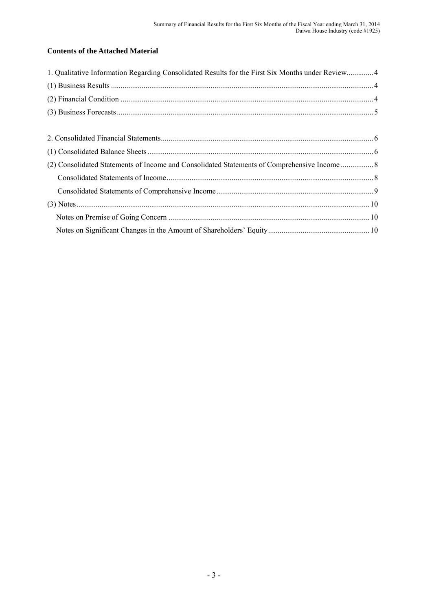# **Contents of the Attached Material**

| 1. Qualitative Information Regarding Consolidated Results for the First Six Months under Review4 |  |
|--------------------------------------------------------------------------------------------------|--|
|                                                                                                  |  |
|                                                                                                  |  |
|                                                                                                  |  |
|                                                                                                  |  |
|                                                                                                  |  |
|                                                                                                  |  |
|                                                                                                  |  |
|                                                                                                  |  |
|                                                                                                  |  |
|                                                                                                  |  |
|                                                                                                  |  |
|                                                                                                  |  |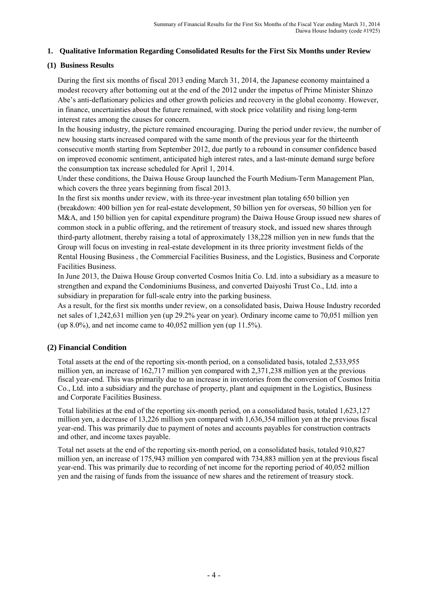## **1. Qualitative Information Regarding Consolidated Results for the First Six Months under Review**

## **(1) Business Results**

During the first six months of fiscal 2013 ending March 31, 2014, the Japanese economy maintained a modest recovery after bottoming out at the end of the 2012 under the impetus of Prime Minister Shinzo Abe's anti-deflationary policies and other growth policies and recovery in the global economy. However, in finance, uncertainties about the future remained, with stock price volatility and rising long-term interest rates among the causes for concern.

In the housing industry, the picture remained encouraging. During the period under review, the number of new housing starts increased compared with the same month of the previous year for the thirteenth consecutive month starting from September 2012, due partly to a rebound in consumer confidence based on improved economic sentiment, anticipated high interest rates, and a last-minute demand surge before the consumption tax increase scheduled for April 1, 2014.

Under these conditions, the Daiwa House Group launched the Fourth Medium-Term Management Plan, which covers the three years beginning from fiscal 2013.

In the first six months under review, with its three-year investment plan totaling 650 billion yen (breakdown: 400 billion yen for real-estate development, 50 billion yen for overseas, 50 billion yen for M&A, and 150 billion yen for capital expenditure program) the Daiwa House Group issued new shares of common stock in a public offering, and the retirement of treasury stock, and issued new shares through third-party allotment, thereby raising a total of approximately 138,228 million yen in new funds that the Group will focus on investing in real-estate development in its three priority investment fields of the Rental Housing Business , the Commercial Facilities Business, and the Logistics, Business and Corporate Facilities Business.

In June 2013, the Daiwa House Group converted Cosmos Initia Co. Ltd. into a subsidiary as a measure to strengthen and expand the Condominiums Business, and converted Daiyoshi Trust Co., Ltd. into a subsidiary in preparation for full-scale entry into the parking business.

As a result, for the first six months under review, on a consolidated basis, Daiwa House Industry recorded net sales of 1,242,631 million yen (up 29.2% year on year). Ordinary income came to 70,051 million yen (up  $8.0\%$ ), and net income came to  $40,052$  million yen (up  $11.5\%$ ).

# **(2) Financial Condition**

Total assets at the end of the reporting six-month period, on a consolidated basis, totaled 2,533,955 million yen, an increase of 162,717 million yen compared with 2,371,238 million yen at the previous fiscal year-end. This was primarily due to an increase in inventories from the conversion of Cosmos Initia Co., Ltd. into a subsidiary and the purchase of property, plant and equipment in the Logistics, Business and Corporate Facilities Business.

Total liabilities at the end of the reporting six-month period, on a consolidated basis, totaled 1,623,127 million yen, a decrease of 13,226 million yen compared with 1,636,354 million yen at the previous fiscal year-end. This was primarily due to payment of notes and accounts payables for construction contracts and other, and income taxes payable.

Total net assets at the end of the reporting six-month period, on a consolidated basis, totaled 910,827 million yen, an increase of 175,943 million yen compared with 734,883 million yen at the previous fiscal year-end. This was primarily due to recording of net income for the reporting period of 40,052 million yen and the raising of funds from the issuance of new shares and the retirement of treasury stock.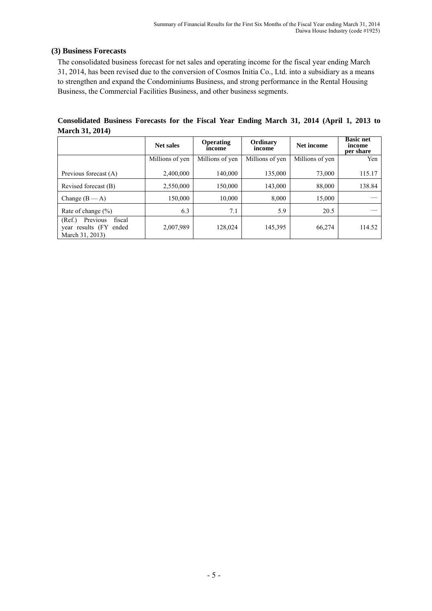## **(3) Business Forecasts**

The consolidated business forecast for net sales and operating income for the fiscal year ending March 31, 2014, has been revised due to the conversion of Cosmos Initia Co., Ltd. into a subsidiary as a means to strengthen and expand the Condominiums Business, and strong performance in the Rental Housing Business, the Commercial Facilities Business, and other business segments.

**Consolidated Business Forecasts for the Fiscal Year Ending March 31, 2014 (April 1, 2013 to March 31, 2014)** 

|                                                                               | <b>Net sales</b> | Operating<br>income | Ordinary<br>income | Net income      | <b>Basic net</b><br>income<br>per share |
|-------------------------------------------------------------------------------|------------------|---------------------|--------------------|-----------------|-----------------------------------------|
|                                                                               | Millions of yen  | Millions of yen     | Millions of yen    | Millions of yen | Yen                                     |
| Previous forecast (A)                                                         | 2,400,000        | 140,000             | 135,000            | 73,000          | 115.17                                  |
| Revised forecast (B)                                                          | 2,550,000        | 150,000             | 143,000            | 88,000          | 138.84                                  |
| Change $(B - A)$                                                              | 150,000          | 10,000              | 8,000              | 15,000          |                                         |
| Rate of change $(\% )$                                                        | 6.3              | 7.1                 | 5.9                | 20.5            |                                         |
| Previous<br>(Ref.)<br>fiscal<br>year results (FY)<br>ended<br>March 31, 2013) | 2,007,989        | 128,024             | 145,395            | 66,274          | 114.52                                  |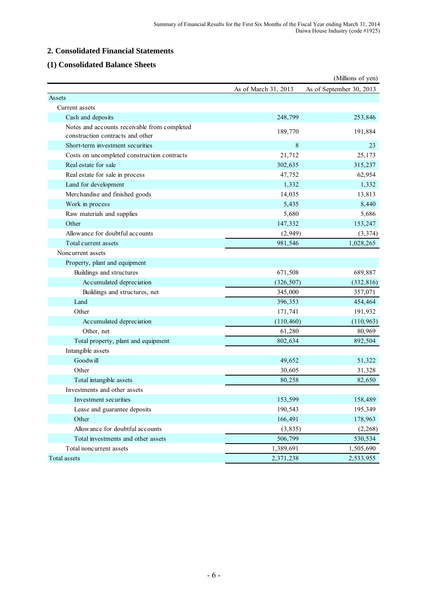### **2. Consolidated Financial Statements**

### **(1) Consolidated Balance Sheets**

|                                              |                      | (Millions of yen)        |
|----------------------------------------------|----------------------|--------------------------|
|                                              | As of March 31, 2013 | As of September 30, 2013 |
| Assets                                       |                      |                          |
| Current assets                               |                      |                          |
| Cash and deposits                            | 248,799              | 253,846                  |
| Notes and accounts receivable from completed | 189,770              | 191,884                  |
| construction contracts and other             |                      |                          |
| Short-term investment securities             | 8                    | 23                       |
| Costs on uncompleted construction contracts  | 21,712               | 25,173                   |
| Real estate for sale                         | 302,635              | 315,237                  |
| Real estate for sale in process              | 47,752               | 62,954                   |
| Land for development                         | 1,332                | 1,332                    |
| Merchandise and finished goods               | 14,035               | 13,813                   |
| Work in process                              | 5,435                | 8,440                    |
| Raw materials and supplies                   | 5,680                | 5,686                    |
| Other                                        | 147,332              | 153,247                  |
| Allowance for doubtful accounts              | (2,949)              | (3,374)                  |
| Total current assets                         | 981,546              | 1,028,265                |
| Noncurrent assets                            |                      |                          |
| Property, plant and equipment                |                      |                          |
| Buildings and structures                     | 671,508              | 689,887                  |
| Accumulated depreciation                     | (326, 507)           | (332, 816)               |
| Buildings and structures, net                | 345,000              | 357,071                  |
| Land                                         | 396,353              | 454,464                  |
| Other                                        | 171,741              | 191,932                  |
| Accumulated depreciation                     | (110, 460)           | (110, 963)               |
| Other, net                                   | 61,280               | 80,969                   |
| Total property, plant and equipment          | 802,634              | 892,504                  |
| Intangible assets                            |                      |                          |
| Goodwill                                     | 49,652               | 51,322                   |
| Other                                        | 30,605               | 31,328                   |
| Total intangible assets                      | 80,258               | 82,650                   |
| Investments and other assets                 |                      |                          |
| Investment securities                        | 153,599              | 158,489                  |
| Lease and guarantee deposits                 | 190,543              | 195,349                  |
| Other                                        | 166,491              | 178,963                  |
| Allowance for doubtful accounts              | (3, 835)             | (2,268)                  |
| Total investments and other assets           | 506,799              | 530,534                  |
| Total noncurrent assets                      | 1,389,691            | 1,505,690                |
| Total assets                                 | 2,371,238            | 2,533,955                |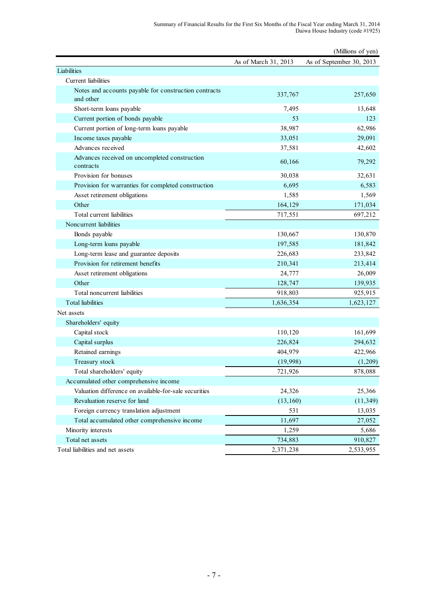|                                                                    |                      | (Millions of yen)        |
|--------------------------------------------------------------------|----------------------|--------------------------|
|                                                                    | As of March 31, 2013 | As of September 30, 2013 |
| Liabilities                                                        |                      |                          |
| Current liabilities                                                |                      |                          |
| Notes and accounts payable for construction contracts<br>and other | 337,767              | 257,650                  |
| Short-term loans payable                                           | 7,495                | 13,648                   |
| Current portion of bonds payable                                   | 53                   | 123                      |
| Current portion of long-term loans payable                         | 38,987               | 62,986                   |
| Income taxes payable                                               | 33,051               | 29,091                   |
| Advances received                                                  | 37,581               | 42,602                   |
| Advances received on uncompleted construction<br>contracts         | 60,166               | 79,292                   |
| Provision for bonuses                                              | 30,038               | 32,631                   |
| Provision for warranties for completed construction                | 6,695                | 6,583                    |
| Asset retirement obligations                                       | 1,585                | 1,569                    |
| Other                                                              | 164,129              | 171,034                  |
| Total current liabilities                                          | 717,551              | 697,212                  |
| Noncurrent liabilities                                             |                      |                          |
| Bonds payable                                                      | 130,667              | 130,870                  |
| Long-term loans payable                                            | 197,585              | 181,842                  |
| Long-term lease and guarantee deposits                             | 226,683              | 233,842                  |
| Provision for retirement benefits                                  | 210,341              | 213,414                  |
| Asset retirement obligations                                       | 24,777               | 26,009                   |
| Other                                                              | 128,747              | 139,935                  |
| Total noncurrent liabilities                                       | 918,803              | 925,915                  |
| <b>Total liabilities</b>                                           | 1,636,354            | 1,623,127                |
| Net assets                                                         |                      |                          |
| Shareholders' equity                                               |                      |                          |
| Capital stock                                                      | 110,120              | 161,699                  |
| Capital surplus                                                    | 226,824              | 294,632                  |
| Retained earnings                                                  | 404,979              | 422,966                  |
| Treasury stock                                                     | (19,998)             | (1,209)                  |
| Total shareholders' equity                                         | 721,926              | 878,088                  |
| Accumulated other comprehensive income                             |                      |                          |
| Valuation difference on available-for-sale securities              | 24,326               | 25,366                   |
| Revaluation reserve for land                                       | (13, 160)            | (11, 349)                |
| Foreign currency translation adjustment                            | 531                  | 13,035                   |
| Total accumulated other comprehensive income                       | 11,697               | 27,052                   |
| Minority interests                                                 | 1,259                | 5,686                    |
| Total net assets                                                   | 734,883              | 910,827                  |
| Total liabilities and net assets                                   | 2,371,238            | 2,533,955                |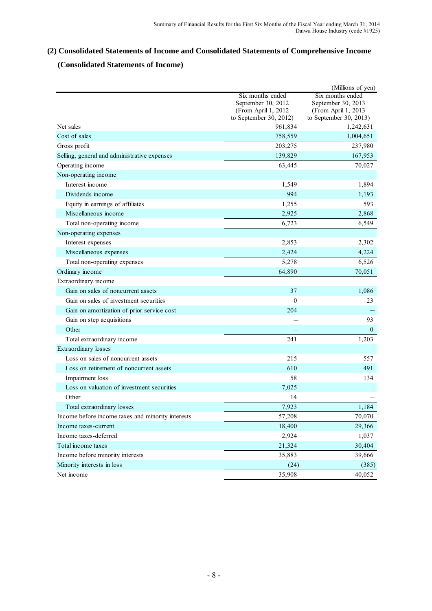# **(2) Consolidated Statements of Income and Consolidated Statements of Comprehensive Income**

# **(Consolidated Statements of Income)**

|                                                   |                                                                                         | (Millions of yen)                                                                       |
|---------------------------------------------------|-----------------------------------------------------------------------------------------|-----------------------------------------------------------------------------------------|
|                                                   | Six months ended<br>September 30, 2012<br>(From April 1, 2012<br>to September 30, 2012) | Six months ended<br>September 30, 2013<br>(From April 1, 2013<br>to September 30, 2013) |
| Net sales                                         | 961,834                                                                                 | 1,242,631                                                                               |
| Cost of sales                                     | 758,559                                                                                 | 1,004,651                                                                               |
| Gross profit                                      | 203,275                                                                                 | 237,980                                                                                 |
| Selling, general and administrative expenses      | 139,829                                                                                 | 167,953                                                                                 |
| Operating income                                  | 63,445                                                                                  | 70,027                                                                                  |
| Non-operating income                              |                                                                                         |                                                                                         |
| Interest income                                   | 1,549                                                                                   | 1,894                                                                                   |
| Dividends income                                  | 994                                                                                     | 1,193                                                                                   |
| Equity in earnings of affiliates                  | 1,255                                                                                   | 593                                                                                     |
| Miscellaneous income                              | 2,925                                                                                   | 2,868                                                                                   |
| Total non-operating income                        | 6,723                                                                                   | 6,549                                                                                   |
| Non-operating expenses                            |                                                                                         |                                                                                         |
| Interest expenses                                 | 2,853                                                                                   | 2,302                                                                                   |
| Miscellaneous expenses                            | 2,424                                                                                   | 4,224                                                                                   |
| Total non-operating expenses                      | 5,278                                                                                   | 6,526                                                                                   |
| Ordinary income                                   | 64,890                                                                                  | 70,051                                                                                  |
| Extraordinary income                              |                                                                                         |                                                                                         |
| Gain on sales of noncurrent assets                | 37                                                                                      | 1,086                                                                                   |
| Gain on sales of investment securities            | $\theta$                                                                                | 23                                                                                      |
| Gain on amortization of prior service cost        | 204                                                                                     |                                                                                         |
| Gain on step acquisitions                         |                                                                                         | 93                                                                                      |
| Other                                             |                                                                                         | $\boldsymbol{0}$                                                                        |
| Total extraordinary income                        | 241                                                                                     | 1,203                                                                                   |
| Extraordinary losses                              |                                                                                         |                                                                                         |
| Loss on sales of noncurrent assets                | 215                                                                                     | 557                                                                                     |
| Loss on retirement of noncurrent assets           | 610                                                                                     | 491                                                                                     |
| Impairment loss                                   | 58                                                                                      | 134                                                                                     |
| Loss on valuation of investment securities        | 7,025                                                                                   |                                                                                         |
| Other                                             | 14                                                                                      |                                                                                         |
| Total extraordinary losses                        | 7,923                                                                                   | 1.184                                                                                   |
| Income before income taxes and minority interests | 57,208                                                                                  | 70,070                                                                                  |
| Income taxes-current                              | 18,400                                                                                  | 29,366                                                                                  |
| Income taxes-deferred                             | 2,924                                                                                   | 1,037                                                                                   |
| Total income taxes                                | 21,324                                                                                  | 30,404                                                                                  |
| Income before minority interests                  | 35,883                                                                                  | 39,666                                                                                  |
| Minority interests in loss                        | (24)                                                                                    | (385)                                                                                   |
| Net income                                        | 35,908                                                                                  | 40,052                                                                                  |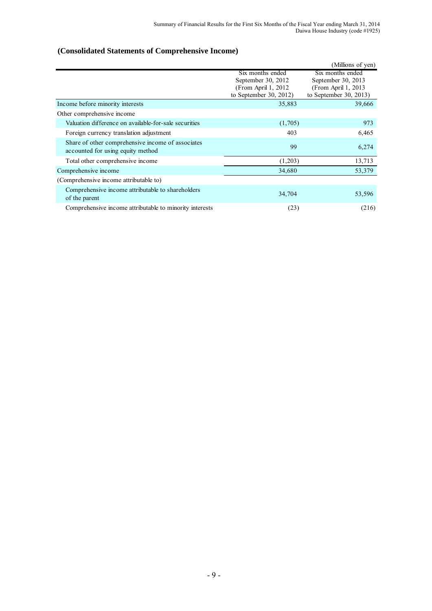# **(Consolidated Statements of Comprehensive Income)**

|                                                                                        |                                                                                          | (Millions of yen)                                                                        |
|----------------------------------------------------------------------------------------|------------------------------------------------------------------------------------------|------------------------------------------------------------------------------------------|
|                                                                                        | Six months ended<br>September 30, 2012<br>(From April 1, 2012)<br>to September 30, 2012) | Six months ended<br>September 30, 2013<br>(From April 1, 2013)<br>to September 30, 2013) |
| Income before minority interests                                                       | 35,883                                                                                   | 39,666                                                                                   |
| Other comprehensive income                                                             |                                                                                          |                                                                                          |
| Valuation difference on available-for-sale securities                                  | (1,705)                                                                                  | 973                                                                                      |
| Foreign currency translation adjustment                                                | 403                                                                                      | 6,465                                                                                    |
| Share of other comprehensive income of associates<br>accounted for using equity method | 99                                                                                       | 6,274                                                                                    |
| Total other comprehensive income                                                       | (1,203)                                                                                  | 13,713                                                                                   |
| Comprehensive income                                                                   | 34,680                                                                                   | 53,379                                                                                   |
| (Comprehensive income attributable to)                                                 |                                                                                          |                                                                                          |
| Comprehensive income attributable to shareholders<br>of the parent                     | 34,704                                                                                   | 53,596                                                                                   |
| Comprehensive income attributable to minority interests                                | (23)                                                                                     | (216)                                                                                    |